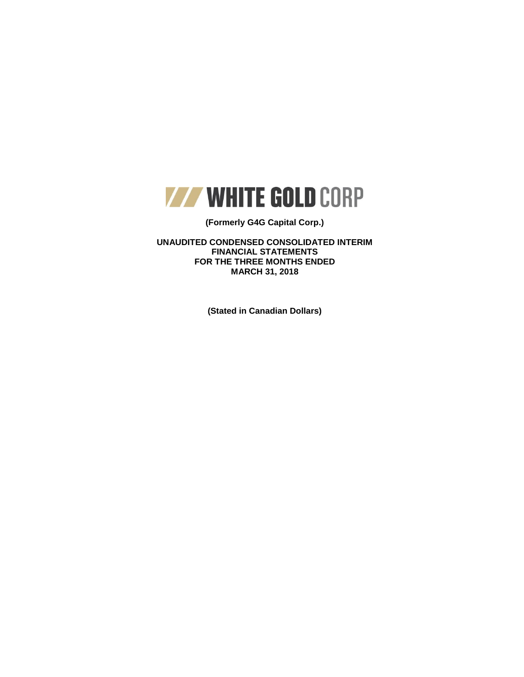

## **(Formerly G4G Capital Corp.)**

**UNAUDITED CONDENSED CONSOLIDATED INTERIM FINANCIAL STATEMENTS FOR THE THREE MONTHS ENDED MARCH 31, 2018**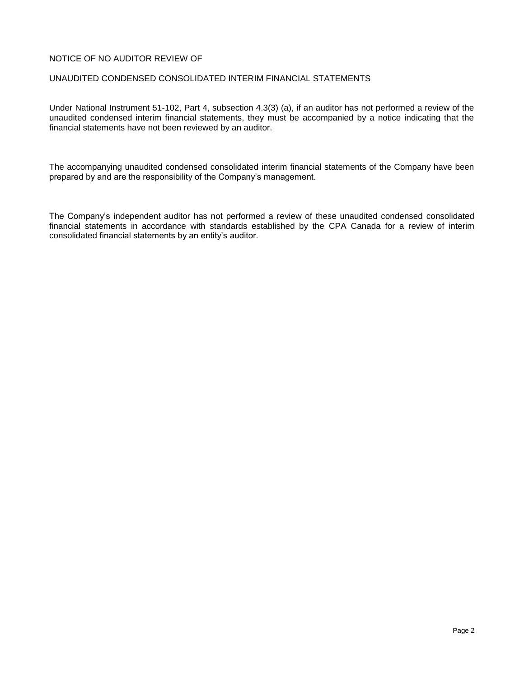## NOTICE OF NO AUDITOR REVIEW OF

### UNAUDITED CONDENSED CONSOLIDATED INTERIM FINANCIAL STATEMENTS

Under National Instrument 51-102, Part 4, subsection 4.3(3) (a), if an auditor has not performed a review of the unaudited condensed interim financial statements, they must be accompanied by a notice indicating that the financial statements have not been reviewed by an auditor.

The accompanying unaudited condensed consolidated interim financial statements of the Company have been prepared by and are the responsibility of the Company's management.

The Company's independent auditor has not performed a review of these unaudited condensed consolidated financial statements in accordance with standards established by the CPA Canada for a review of interim consolidated financial statements by an entity's auditor.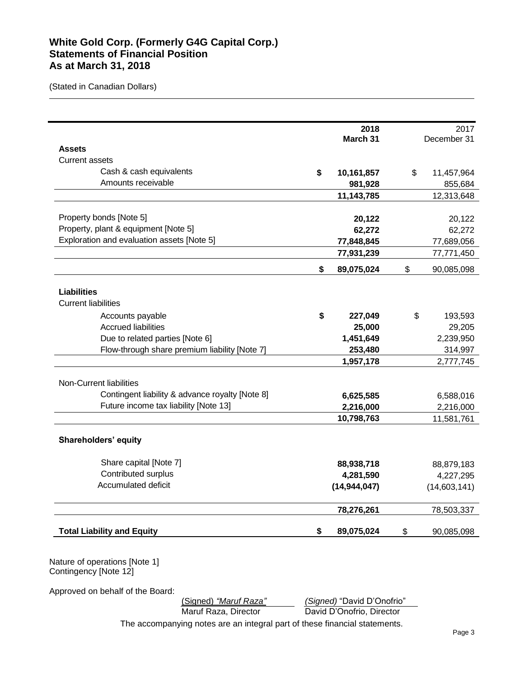# **White Gold Corp. (Formerly G4G Capital Corp.) Statements of Financial Position As at March 31, 2018**

(Stated in Canadian Dollars)

| 2017             | 2018           |                                                 |
|------------------|----------------|-------------------------------------------------|
| December 31      | March 31       |                                                 |
|                  |                | <b>Assets</b><br><b>Current assets</b>          |
|                  |                | Cash & cash equivalents                         |
| \$<br>11,457,964 | 10,161,857     | \$<br>Amounts receivable                        |
| 855,684          | 981,928        |                                                 |
| 12,313,648       | 11,143,785     |                                                 |
| 20,122           | 20,122         | Property bonds [Note 5]                         |
| 62,272           | 62,272         | Property, plant & equipment [Note 5]            |
| 77,689,056       | 77,848,845     | Exploration and evaluation assets [Note 5]      |
| 77,771,450       | 77,931,239     |                                                 |
| \$<br>90,085,098 | 89,075,024     | \$                                              |
|                  |                | <b>Liabilities</b>                              |
|                  |                | <b>Current liabilities</b>                      |
| \$<br>193,593    | 227,049        | \$<br>Accounts payable                          |
| 29,205           | 25,000         | <b>Accrued liabilities</b>                      |
| 2,239,950        | 1,451,649      | Due to related parties [Note 6]                 |
| 314,997          | 253,480        | Flow-through share premium liability [Note 7]   |
| 2,777,745        | 1,957,178      |                                                 |
|                  |                | Non-Current liabilities                         |
| 6,588,016        | 6,625,585      | Contingent liability & advance royalty [Note 8] |
| 2,216,000        | 2,216,000      | Future income tax liability [Note 13]           |
| 11,581,761       | 10,798,763     |                                                 |
|                  |                | Shareholders' equity                            |
| 88,879,183       | 88,938,718     | Share capital [Note 7]                          |
| 4,227,295        | 4,281,590      | Contributed surplus                             |
| (14,603,141)     | (14, 944, 047) | Accumulated deficit                             |
| 78,503,337       | 78,276,261     |                                                 |
| \$<br>90,085,098 | 89,075,024     | \$<br><b>Total Liability and Equity</b>         |

Contingency [Note 12]

Approved on behalf of the Board:

(Signed) *"Maruf Raza" (Signed)* "David D'Onofrio"

Maruf Raza, Director David D'Onofrio, Director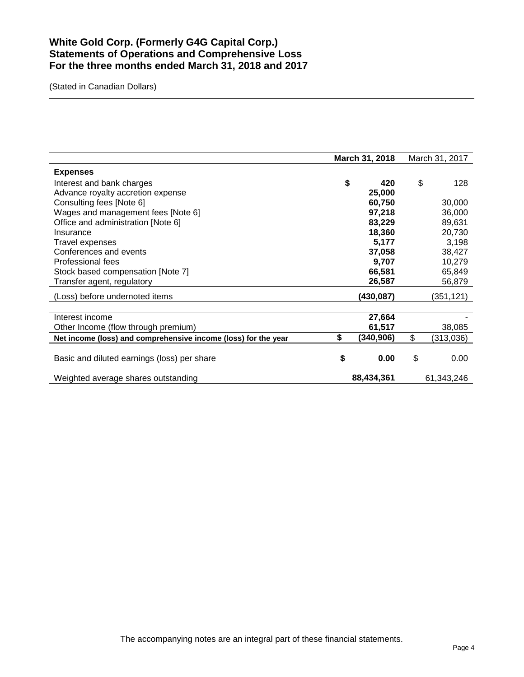# **White Gold Corp. (Formerly G4G Capital Corp.) Statements of Operations and Comprehensive Loss For the three months ended March 31, 2018 and 2017**

|                                                                | March 31, 2018 |            | March 31, 2017  |
|----------------------------------------------------------------|----------------|------------|-----------------|
| <b>Expenses</b>                                                |                |            |                 |
| Interest and bank charges                                      | \$             | 420        | \$<br>128       |
| Advance royalty accretion expense                              |                | 25,000     |                 |
| Consulting fees [Note 6]                                       |                | 60,750     | 30,000          |
| Wages and management fees [Note 6]                             |                | 97,218     | 36,000          |
| Office and administration [Note 6]                             |                | 83,229     | 89,631          |
| Insurance                                                      |                | 18,360     | 20,730          |
| Travel expenses                                                |                | 5,177      | 3,198           |
| Conferences and events                                         |                | 37,058     | 38,427          |
| Professional fees                                              |                | 9,707      | 10,279          |
| Stock based compensation [Note 7]                              |                | 66,581     | 65,849          |
| Transfer agent, regulatory                                     |                | 26,587     | 56,879          |
| (Loss) before undernoted items                                 |                | (430,087)  | (351,121)       |
|                                                                |                |            |                 |
| Interest income                                                |                | 27,664     |                 |
| Other Income (flow through premium)                            |                | 61,517     | 38,085          |
| Net income (loss) and comprehensive income (loss) for the year | \$             | (340, 906) | \$<br>(313,036) |
|                                                                |                |            |                 |
| Basic and diluted earnings (loss) per share                    | \$             | 0.00       | \$<br>0.00      |
| Weighted average shares outstanding                            |                | 88,434,361 | 61,343,246      |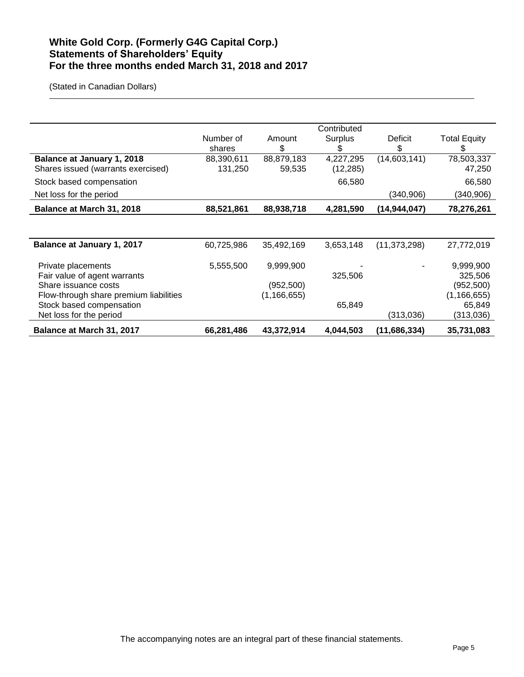# **White Gold Corp. (Formerly G4G Capital Corp.) Statements of Shareholders' Equity For the three months ended March 31, 2018 and 2017**

|                                        |            |               | Contributed |                |                     |
|----------------------------------------|------------|---------------|-------------|----------------|---------------------|
|                                        | Number of  | Amount        | Surplus     | Deficit        | <b>Total Equity</b> |
|                                        | shares     | \$            | S           | \$             | S                   |
| <b>Balance at January 1, 2018</b>      | 88,390,611 | 88,879,183    | 4,227,295   | (14,603,141)   | 78,503,337          |
| Shares issued (warrants exercised)     | 131,250    | 59,535        | (12, 285)   |                | 47,250              |
| Stock based compensation               |            |               | 66,580      |                | 66,580              |
| Net loss for the period                |            |               |             | (340, 906)     | (340, 906)          |
| Balance at March 31, 2018              | 88,521,861 | 88,938,718    | 4,281,590   | (14, 944, 047) | 78,276,261          |
|                                        |            |               |             |                |                     |
|                                        |            |               |             |                |                     |
| Balance at January 1, 2017             | 60,725,986 | 35,492,169    | 3,653,148   | (11, 373, 298) | 27,772,019          |
|                                        |            |               |             |                |                     |
| Private placements                     | 5,555,500  | 9,999,900     |             |                | 9,999,900           |
| Fair value of agent warrants           |            |               | 325,506     |                | 325,506             |
| Share issuance costs                   |            | (952, 500)    |             |                | (952, 500)          |
| Flow-through share premium liabilities |            | (1, 166, 655) |             |                | (1, 166, 655)       |
| Stock based compensation               |            |               | 65,849      |                | 65,849              |
| Net loss for the period                |            |               |             | (313,036)      | (313,036)           |
| Balance at March 31, 2017              | 66,281,486 | 43,372,914    | 4,044,503   | (11,686,334)   | 35,731,083          |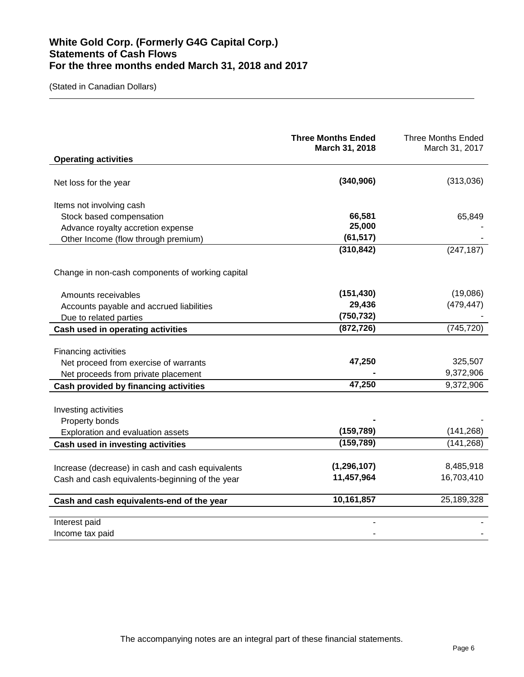# **White Gold Corp. (Formerly G4G Capital Corp.) Statements of Cash Flows For the three months ended March 31, 2018 and 2017**

|                                                                                                                                  | <b>Three Months Ended</b><br>March 31, 2018 | <b>Three Months Ended</b><br>March 31, 2017 |
|----------------------------------------------------------------------------------------------------------------------------------|---------------------------------------------|---------------------------------------------|
| <b>Operating activities</b>                                                                                                      |                                             |                                             |
| Net loss for the year                                                                                                            | (340, 906)                                  | (313,036)                                   |
| Items not involving cash<br>Stock based compensation<br>Advance royalty accretion expense<br>Other Income (flow through premium) | 66,581<br>25,000<br>(61, 517)               | 65,849                                      |
|                                                                                                                                  | (310, 842)                                  | (247, 187)                                  |
| Change in non-cash components of working capital                                                                                 |                                             |                                             |
| Amounts receivables                                                                                                              | (151, 430)                                  | (19,086)                                    |
| Accounts payable and accrued liabilities                                                                                         | 29,436                                      | (479, 447)                                  |
| Due to related parties                                                                                                           | (750, 732)                                  |                                             |
| Cash used in operating activities                                                                                                | (872, 726)                                  | (745, 720)                                  |
| Financing activities<br>Net proceed from exercise of warrants<br>Net proceeds from private placement                             | 47,250                                      | 325,507<br>9,372,906                        |
| Cash provided by financing activities                                                                                            | 47,250                                      | 9,372,906                                   |
| Investing activities<br>Property bonds<br>Exploration and evaluation assets                                                      | (159, 789)                                  | (141, 268)                                  |
| Cash used in investing activities                                                                                                | (159, 789)                                  | (141, 268)                                  |
| Increase (decrease) in cash and cash equivalents<br>Cash and cash equivalents-beginning of the year                              | (1, 296, 107)<br>11,457,964                 | 8,485,918<br>16,703,410                     |
| Cash and cash equivalents-end of the year                                                                                        | 10,161,857                                  | 25,189,328                                  |
| Interest paid<br>Income tax paid                                                                                                 |                                             |                                             |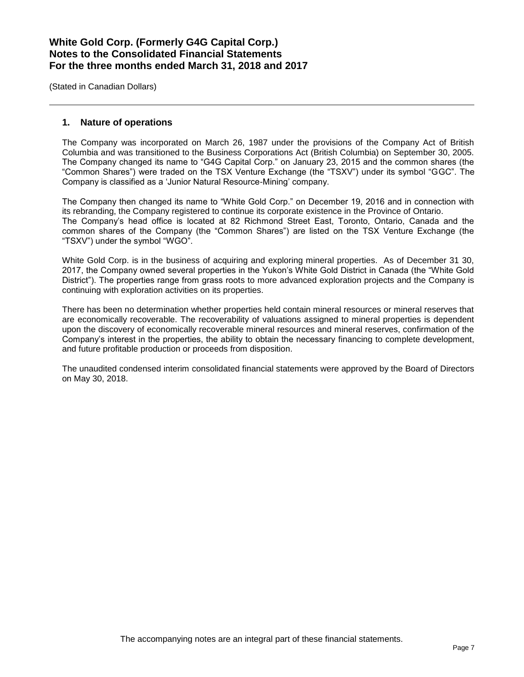(Stated in Canadian Dollars)

## **1. Nature of operations**

The Company was incorporated on March 26, 1987 under the provisions of the Company Act of British Columbia and was transitioned to the Business Corporations Act (British Columbia) on September 30, 2005. The Company changed its name to "G4G Capital Corp." on January 23, 2015 and the common shares (the "Common Shares") were traded on the TSX Venture Exchange (the "TSXV") under its symbol "GGC". The Company is classified as a 'Junior Natural Resource-Mining' company.

The Company then changed its name to "White Gold Corp." on December 19, 2016 and in connection with its rebranding, the Company registered to continue its corporate existence in the Province of Ontario. The Company's head office is located at 82 Richmond Street East, Toronto, Ontario, Canada and the common shares of the Company (the "Common Shares") are listed on the TSX Venture Exchange (the "TSXV") under the symbol "WGO".

White Gold Corp. is in the business of acquiring and exploring mineral properties. As of December 31 30, 2017, the Company owned several properties in the Yukon's White Gold District in Canada (the "White Gold District"). The properties range from grass roots to more advanced exploration projects and the Company is continuing with exploration activities on its properties.

There has been no determination whether properties held contain mineral resources or mineral reserves that are economically recoverable. The recoverability of valuations assigned to mineral properties is dependent upon the discovery of economically recoverable mineral resources and mineral reserves, confirmation of the Company's interest in the properties, the ability to obtain the necessary financing to complete development, and future profitable production or proceeds from disposition.

The unaudited condensed interim consolidated financial statements were approved by the Board of Directors on May 30, 2018.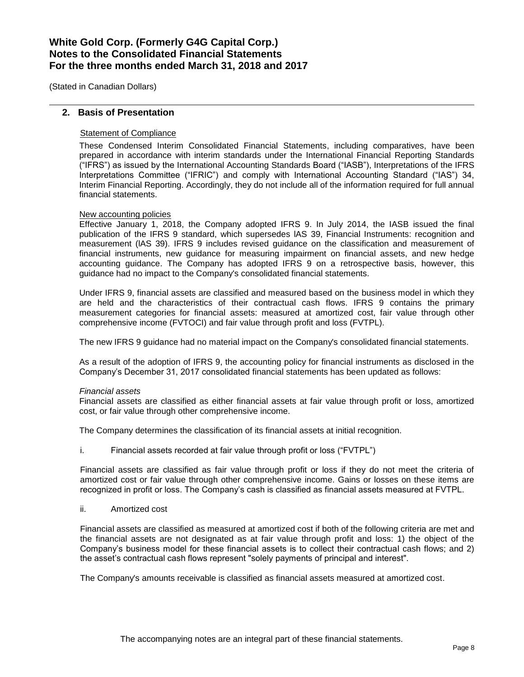(Stated in Canadian Dollars)

## **2. Basis of Presentation**

## Statement of Compliance

These Condensed Interim Consolidated Financial Statements, including comparatives, have been prepared in accordance with interim standards under the International Financial Reporting Standards ("IFRS") as issued by the International Accounting Standards Board ("IASB"), Interpretations of the IFRS Interpretations Committee ("IFRIC") and comply with International Accounting Standard ("IAS") 34, Interim Financial Reporting. Accordingly, they do not include all of the information required for full annual financial statements.

### New accounting policies

Effective January 1, 2018, the Company adopted IFRS 9. In July 2014, the IASB issued the final publication of the IFRS 9 standard, which supersedes lAS 39, Financial Instruments: recognition and measurement (lAS 39). IFRS 9 includes revised guidance on the classification and measurement of financial instruments, new guidance for measuring impairment on financial assets, and new hedge accounting guidance. The Company has adopted IFRS 9 on a retrospective basis, however, this guidance had no impact to the Company's consolidated financial statements.

Under IFRS 9, financial assets are classified and measured based on the business model in which they are held and the characteristics of their contractual cash flows. IFRS 9 contains the primary measurement categories for financial assets: measured at amortized cost, fair value through other comprehensive income (FVTOCI) and fair value through profit and loss (FVTPL).

The new IFRS 9 guidance had no material impact on the Company's consolidated financial statements.

As a result of the adoption of IFRS 9, the accounting policy for financial instruments as disclosed in the Company's December 31, 2017 consolidated financial statements has been updated as follows:

### *Financial assets*

Financial assets are classified as either financial assets at fair value through profit or loss, amortized cost, or fair value through other comprehensive income.

The Company determines the classification of its financial assets at initial recognition.

i. Financial assets recorded at fair value through profit or loss ("FVTPL")

Financial assets are classified as fair value through profit or loss if they do not meet the criteria of amortized cost or fair value through other comprehensive income. Gains or losses on these items are recognized in profit or loss. The Company's cash is classified as financial assets measured at FVTPL.

ii. Amortized cost

Financial assets are classified as measured at amortized cost if both of the following criteria are met and the financial assets are not designated as at fair value through profit and loss: 1) the object of the Company's business model for these financial assets is to collect their contractual cash flows; and 2) the asset's contractual cash flows represent "solely payments of principal and interest".

The Company's amounts receivable is classified as financial assets measured at amortized cost.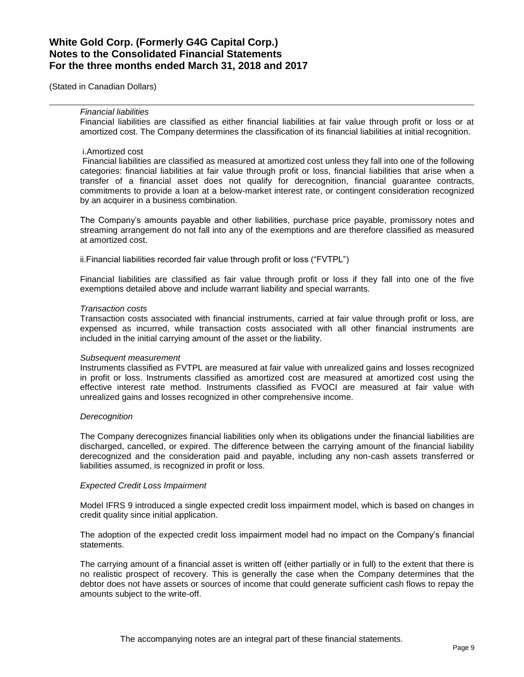(Stated in Canadian Dollars)

#### *Financial liabilities*

Financial liabilities are classified as either financial liabilities at fair value through profit or loss or at amortized cost. The Company determines the classification of its financial liabilities at initial recognition.

#### i.Amortized cost

Financial liabilities are classified as measured at amortized cost unless they fall into one of the following categories: financial liabilities at fair value through profit or loss, financial liabilities that arise when a transfer of a financial asset does not qualify for derecognition, financial guarantee contracts, commitments to provide a loan at a below-market interest rate, or contingent consideration recognized by an acquirer in a business combination.

The Company's amounts payable and other liabilities, purchase price payable, promissory notes and streaming arrangement do not fall into any of the exemptions and are therefore classified as measured at amortized cost.

ii.Financial liabilities recorded fair value through profit or loss ("FVTPL")

Financial liabilities are classified as fair value through profit or loss if they fall into one of the five exemptions detailed above and include warrant liability and special warrants.

#### *Transaction costs*

Transaction costs associated with financial instruments, carried at fair value through profit or loss, are expensed as incurred, while transaction costs associated with all other financial instruments are included in the initial carrying amount of the asset or the liability.

#### *Subsequent measurement*

Instruments classified as FVTPL are measured at fair value with unrealized gains and losses recognized in profit or loss. Instruments classified as amortized cost are measured at amortized cost using the effective interest rate method. Instruments classified as FVOCI are measured at fair value with unrealized gains and losses recognized in other comprehensive income.

#### *Derecognition*

The Company derecognizes financial liabilities only when its obligations under the financial liabilities are discharged, cancelled, or expired. The difference between the carrying amount of the financial liability derecognized and the consideration paid and payable, including any non-cash assets transferred or liabilities assumed, is recognized in profit or loss.

#### *Expected Credit Loss Impairment*

Model IFRS 9 introduced a single expected credit loss impairment model, which is based on changes in credit quality since initial application.

The adoption of the expected credit loss impairment model had no impact on the Company's financial statements.

The carrying amount of a financial asset is written off (either partially or in full) to the extent that there is no realistic prospect of recovery. This is generally the case when the Company determines that the debtor does not have assets or sources of income that could generate sufficient cash flows to repay the amounts subject to the write-off.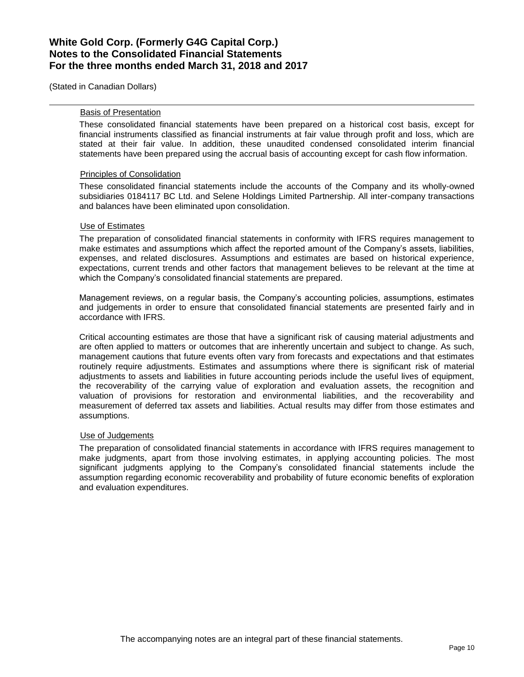(Stated in Canadian Dollars)

#### Basis of Presentation

These consolidated financial statements have been prepared on a historical cost basis, except for financial instruments classified as financial instruments at fair value through profit and loss, which are stated at their fair value. In addition, these unaudited condensed consolidated interim financial statements have been prepared using the accrual basis of accounting except for cash flow information.

#### Principles of Consolidation

These consolidated financial statements include the accounts of the Company and its wholly-owned subsidiaries 0184117 BC Ltd. and Selene Holdings Limited Partnership. All inter-company transactions and balances have been eliminated upon consolidation.

#### Use of Estimates

The preparation of consolidated financial statements in conformity with IFRS requires management to make estimates and assumptions which affect the reported amount of the Company's assets, liabilities, expenses, and related disclosures. Assumptions and estimates are based on historical experience, expectations, current trends and other factors that management believes to be relevant at the time at which the Company's consolidated financial statements are prepared.

Management reviews, on a regular basis, the Company's accounting policies, assumptions, estimates and judgements in order to ensure that consolidated financial statements are presented fairly and in accordance with IFRS.

Critical accounting estimates are those that have a significant risk of causing material adjustments and are often applied to matters or outcomes that are inherently uncertain and subject to change. As such, management cautions that future events often vary from forecasts and expectations and that estimates routinely require adjustments. Estimates and assumptions where there is significant risk of material adjustments to assets and liabilities in future accounting periods include the useful lives of equipment, the recoverability of the carrying value of exploration and evaluation assets, the recognition and valuation of provisions for restoration and environmental liabilities, and the recoverability and measurement of deferred tax assets and liabilities. Actual results may differ from those estimates and assumptions.

### Use of Judgements

The preparation of consolidated financial statements in accordance with IFRS requires management to make judgments, apart from those involving estimates, in applying accounting policies. The most significant judgments applying to the Company's consolidated financial statements include the assumption regarding economic recoverability and probability of future economic benefits of exploration and evaluation expenditures.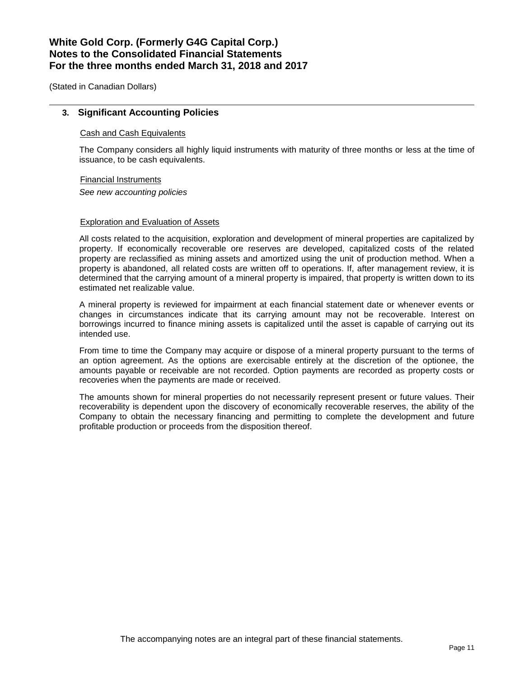(Stated in Canadian Dollars)

### **3. Significant Accounting Policies**

#### Cash and Cash Equivalents

The Company considers all highly liquid instruments with maturity of three months or less at the time of issuance, to be cash equivalents.

#### Financial Instruments

*See new accounting policies*

#### Exploration and Evaluation of Assets

All costs related to the acquisition, exploration and development of mineral properties are capitalized by property. If economically recoverable ore reserves are developed, capitalized costs of the related property are reclassified as mining assets and amortized using the unit of production method. When a property is abandoned, all related costs are written off to operations. If, after management review, it is determined that the carrying amount of a mineral property is impaired, that property is written down to its estimated net realizable value.

A mineral property is reviewed for impairment at each financial statement date or whenever events or changes in circumstances indicate that its carrying amount may not be recoverable. Interest on borrowings incurred to finance mining assets is capitalized until the asset is capable of carrying out its intended use.

From time to time the Company may acquire or dispose of a mineral property pursuant to the terms of an option agreement. As the options are exercisable entirely at the discretion of the optionee, the amounts payable or receivable are not recorded. Option payments are recorded as property costs or recoveries when the payments are made or received.

The amounts shown for mineral properties do not necessarily represent present or future values. Their recoverability is dependent upon the discovery of economically recoverable reserves, the ability of the Company to obtain the necessary financing and permitting to complete the development and future profitable production or proceeds from the disposition thereof.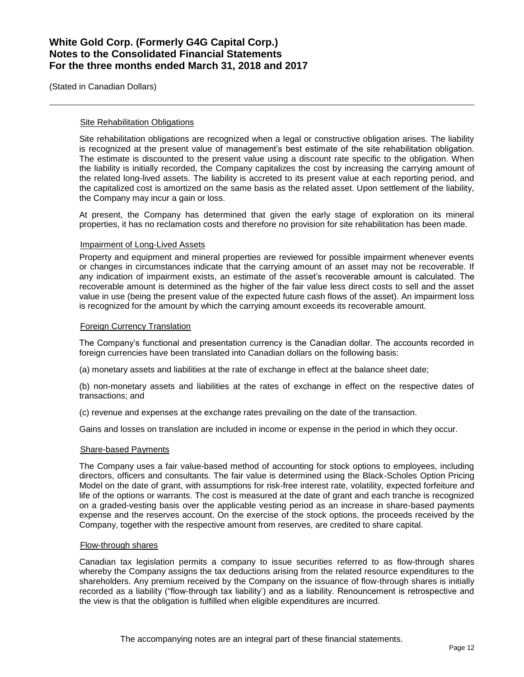(Stated in Canadian Dollars)

#### **Site Rehabilitation Obligations**

Site rehabilitation obligations are recognized when a legal or constructive obligation arises. The liability is recognized at the present value of management's best estimate of the site rehabilitation obligation. The estimate is discounted to the present value using a discount rate specific to the obligation. When the liability is initially recorded, the Company capitalizes the cost by increasing the carrying amount of the related long-lived assets. The liability is accreted to its present value at each reporting period, and the capitalized cost is amortized on the same basis as the related asset. Upon settlement of the liability, the Company may incur a gain or loss.

At present, the Company has determined that given the early stage of exploration on its mineral properties, it has no reclamation costs and therefore no provision for site rehabilitation has been made.

#### Impairment of Long-Lived Assets

Property and equipment and mineral properties are reviewed for possible impairment whenever events or changes in circumstances indicate that the carrying amount of an asset may not be recoverable. If any indication of impairment exists, an estimate of the asset's recoverable amount is calculated. The recoverable amount is determined as the higher of the fair value less direct costs to sell and the asset value in use (being the present value of the expected future cash flows of the asset). An impairment loss is recognized for the amount by which the carrying amount exceeds its recoverable amount.

### Foreign Currency Translation

The Company's functional and presentation currency is the Canadian dollar. The accounts recorded in foreign currencies have been translated into Canadian dollars on the following basis:

(a) monetary assets and liabilities at the rate of exchange in effect at the balance sheet date;

(b) non-monetary assets and liabilities at the rates of exchange in effect on the respective dates of transactions; and

(c) revenue and expenses at the exchange rates prevailing on the date of the transaction.

Gains and losses on translation are included in income or expense in the period in which they occur.

### Share-based Payments

The Company uses a fair value-based method of accounting for stock options to employees, including directors, officers and consultants. The fair value is determined using the Black-Scholes Option Pricing Model on the date of grant, with assumptions for risk-free interest rate, volatility, expected forfeiture and life of the options or warrants. The cost is measured at the date of grant and each tranche is recognized on a graded-vesting basis over the applicable vesting period as an increase in share-based payments expense and the reserves account. On the exercise of the stock options, the proceeds received by the Company, together with the respective amount from reserves, are credited to share capital.

#### Flow-through shares

Canadian tax legislation permits a company to issue securities referred to as flow-through shares whereby the Company assigns the tax deductions arising from the related resource expenditures to the shareholders. Any premium received by the Company on the issuance of flow-through shares is initially recorded as a liability ("flow-through tax liability') and as a liability. Renouncement is retrospective and the view is that the obligation is fulfilled when eligible expenditures are incurred.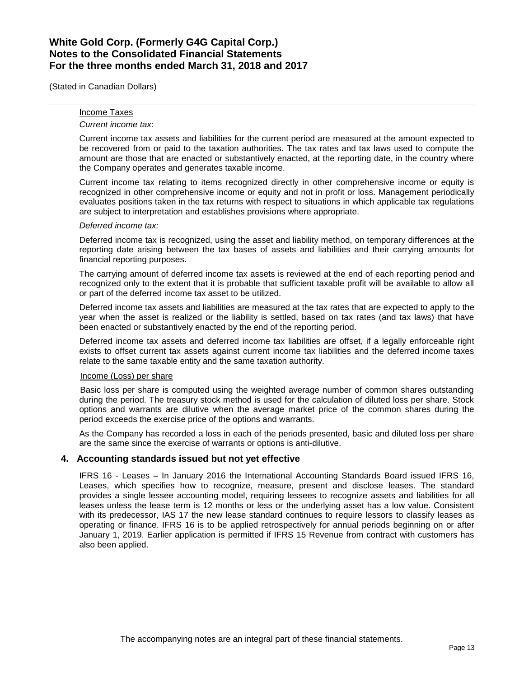(Stated in Canadian Dollars)

## Income Taxes

### *Current income tax*:

Current income tax assets and liabilities for the current period are measured at the amount expected to be recovered from or paid to the taxation authorities. The tax rates and tax laws used to compute the amount are those that are enacted or substantively enacted, at the reporting date, in the country where the Company operates and generates taxable income.

Current income tax relating to items recognized directly in other comprehensive income or equity is recognized in other comprehensive income or equity and not in profit or loss. Management periodically evaluates positions taken in the tax returns with respect to situations in which applicable tax regulations are subject to interpretation and establishes provisions where appropriate.

#### *Deferred income tax:*

Deferred income tax is recognized, using the asset and liability method, on temporary differences at the reporting date arising between the tax bases of assets and liabilities and their carrying amounts for financial reporting purposes.

The carrying amount of deferred income tax assets is reviewed at the end of each reporting period and recognized only to the extent that it is probable that sufficient taxable profit will be available to allow all or part of the deferred income tax asset to be utilized.

Deferred income tax assets and liabilities are measured at the tax rates that are expected to apply to the year when the asset is realized or the liability is settled, based on tax rates (and tax laws) that have been enacted or substantively enacted by the end of the reporting period.

Deferred income tax assets and deferred income tax liabilities are offset, if a legally enforceable right exists to offset current tax assets against current income tax liabilities and the deferred income taxes relate to the same taxable entity and the same taxation authority.

### Income (Loss) per share

Basic loss per share is computed using the weighted average number of common shares outstanding during the period. The treasury stock method is used for the calculation of diluted loss per share. Stock options and warrants are dilutive when the average market price of the common shares during the period exceeds the exercise price of the options and warrants.

As the Company has recorded a loss in each of the periods presented, basic and diluted loss per share are the same since the exercise of warrants or options is anti-dilutive.

### **4. Accounting standards issued but not yet effective**

IFRS 16 - Leases – In January 2016 the International Accounting Standards Board issued IFRS 16, Leases, which specifies how to recognize, measure, present and disclose leases. The standard provides a single lessee accounting model, requiring lessees to recognize assets and liabilities for all leases unless the lease term is 12 months or less or the underlying asset has a low value. Consistent with its predecessor, IAS 17 the new lease standard continues to require lessors to classify leases as operating or finance. IFRS 16 is to be applied retrospectively for annual periods beginning on or after January 1, 2019. Earlier application is permitted if IFRS 15 Revenue from contract with customers has also been applied.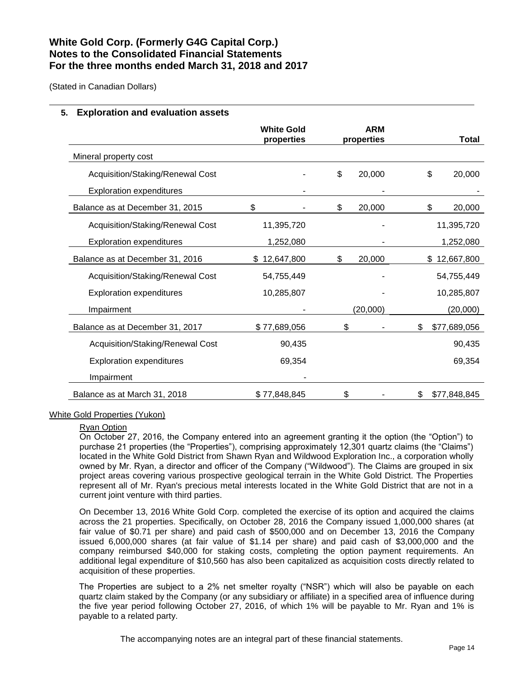(Stated in Canadian Dollars)

## **5. Exploration and evaluation assets**

|                                  | <b>White Gold</b><br>properties | <b>ARM</b><br>properties | Total              |
|----------------------------------|---------------------------------|--------------------------|--------------------|
| Mineral property cost            |                                 |                          |                    |
| Acquisition/Staking/Renewal Cost |                                 | \$<br>20,000             | \$<br>20,000       |
| <b>Exploration expenditures</b>  |                                 |                          |                    |
| Balance as at December 31, 2015  | \$                              | \$<br>20,000             | \$<br>20,000       |
| Acquisition/Staking/Renewal Cost | 11,395,720                      |                          | 11,395,720         |
| <b>Exploration expenditures</b>  | 1,252,080                       |                          | 1,252,080          |
| Balance as at December 31, 2016  | 12,647,800                      | \$<br>20,000             | 12,667,800<br>\$   |
| Acquisition/Staking/Renewal Cost | 54,755,449                      |                          | 54,755,449         |
| <b>Exploration expenditures</b>  | 10,285,807                      |                          | 10,285,807         |
| Impairment                       |                                 | (20,000)                 | (20,000)           |
| Balance as at December 31, 2017  | \$77,689,056                    | \$                       | \$<br>\$77,689,056 |
| Acquisition/Staking/Renewal Cost | 90,435                          |                          | 90,435             |
| <b>Exploration expenditures</b>  | 69,354                          |                          | 69,354             |
| Impairment                       |                                 |                          |                    |
| Balance as at March 31, 2018     | \$77,848,845                    | \$                       | \$77,848,845<br>S  |

### White Gold Properties (Yukon)

#### Ryan Option

On October 27, 2016, the Company entered into an agreement granting it the option (the "Option") to purchase 21 properties (the "Properties"), comprising approximately 12,301 quartz claims (the "Claims") located in the White Gold District from Shawn Ryan and Wildwood Exploration Inc., a corporation wholly owned by Mr. Ryan, a director and officer of the Company ("Wildwood"). The Claims are grouped in six project areas covering various prospective geological terrain in the White Gold District. The Properties represent all of Mr. Ryan's precious metal interests located in the White Gold District that are not in a current joint venture with third parties.

On December 13, 2016 White Gold Corp. completed the exercise of its option and acquired the claims across the 21 properties. Specifically, on October 28, 2016 the Company issued 1,000,000 shares (at fair value of \$0.71 per share) and paid cash of \$500,000 and on December 13, 2016 the Company issued 6,000,000 shares (at fair value of \$1.14 per share) and paid cash of \$3,000,000 and the company reimbursed \$40,000 for staking costs, completing the option payment requirements. An additional legal expenditure of \$10,560 has also been capitalized as acquisition costs directly related to acquisition of these properties.

The Properties are subject to a 2% net smelter royalty ("NSR") which will also be payable on each quartz claim staked by the Company (or any subsidiary or affiliate) in a specified area of influence during the five year period following October 27, 2016, of which 1% will be payable to Mr. Ryan and 1% is payable to a related party.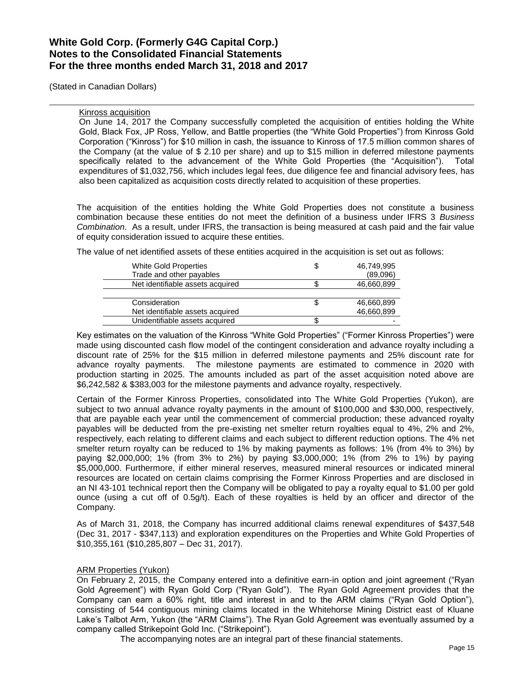(Stated in Canadian Dollars)

#### Kinross acquisition

On June 14, 2017 the Company successfully completed the acquisition of entities holding the White Gold, Black Fox, JP Ross, Yellow, and Battle properties (the "White Gold Properties") from Kinross Gold Corporation ("Kinross") for \$10 million in cash, the issuance to Kinross of 17.5 million common shares of the Company (at the value of \$ 2.10 per share) and up to \$15 million in deferred milestone payments specifically related to the advancement of the White Gold Properties (the "Acquisition"). Total expenditures of \$1,032,756, which includes legal fees, due diligence fee and financial advisory fees, has also been capitalized as acquisition costs directly related to acquisition of these properties.

The acquisition of the entities holding the White Gold Properties does not constitute a business combination because these entities do not meet the definition of a business under IFRS 3 *Business Combination*. As a result, under IFRS, the transaction is being measured at cash paid and the fair value of equity consideration issued to acquire these entities.

The value of net identified assets of these entities acquired in the acquisition is set out as follows:

| <b>White Gold Properties</b>     | S | 46,749,995 |
|----------------------------------|---|------------|
| Trade and other payables         |   | (89,096)   |
| Net identifiable assets acquired |   | 46,660,899 |
|                                  |   |            |
| Consideration                    |   | 46,660,899 |
| Net identifiable assets acquired |   | 46,660,899 |
| Unidentifiable assets acquired   |   |            |

Key estimates on the valuation of the Kinross "White Gold Properties" ("Former Kinross Properties") were made using discounted cash flow model of the contingent consideration and advance royalty including a discount rate of 25% for the \$15 million in deferred milestone payments and 25% discount rate for advance royalty payments. The milestone payments are estimated to commence in 2020 with production starting in 2025. The amounts included as part of the asset acquisition noted above are \$6,242,582 & \$383,003 for the milestone payments and advance royalty, respectively.

Certain of the Former Kinross Properties, consolidated into The White Gold Properties (Yukon), are subject to two annual advance royalty payments in the amount of \$100,000 and \$30,000, respectively, that are payable each year until the commencement of commercial production; these advanced royalty payables will be deducted from the pre-existing net smelter return royalties equal to 4%, 2% and 2%, respectively, each relating to different claims and each subject to different reduction options. The 4% net smelter return royalty can be reduced to 1% by making payments as follows: 1% (from 4% to 3%) by paying \$2,000,000; 1% (from 3% to 2%) by paying \$3,000,000; 1% (from 2% to 1%) by paying \$5,000,000. Furthermore, if either mineral reserves, measured mineral resources or indicated mineral resources are located on certain claims comprising the Former Kinross Properties and are disclosed in an NI 43-101 technical report then the Company will be obligated to pay a royalty equal to \$1.00 per gold ounce (using a cut off of 0.5g/t). Each of these royalties is held by an officer and director of the Company.

As of March 31, 2018, the Company has incurred additional claims renewal expenditures of \$437,548 (Dec 31, 2017 - \$347,113) and exploration expenditures on the Properties and White Gold Properties of \$10,355,161 (\$10,285,807 – Dec 31, 2017).

### ARM Properties (Yukon)

On February 2, 2015, the Company entered into a definitive earn-in option and joint agreement ("Ryan Gold Agreement") with Ryan Gold Corp ("Ryan Gold"). The Ryan Gold Agreement provides that the Company can earn a 60% right, title and interest in and to the ARM claims ("Ryan Gold Option"), consisting of 544 contiguous mining claims located in the Whitehorse Mining District east of Kluane Lake's Talbot Arm, Yukon (the "ARM Claims"). The Ryan Gold Agreement was eventually assumed by a company called Strikepoint Gold Inc. ("Strikepoint").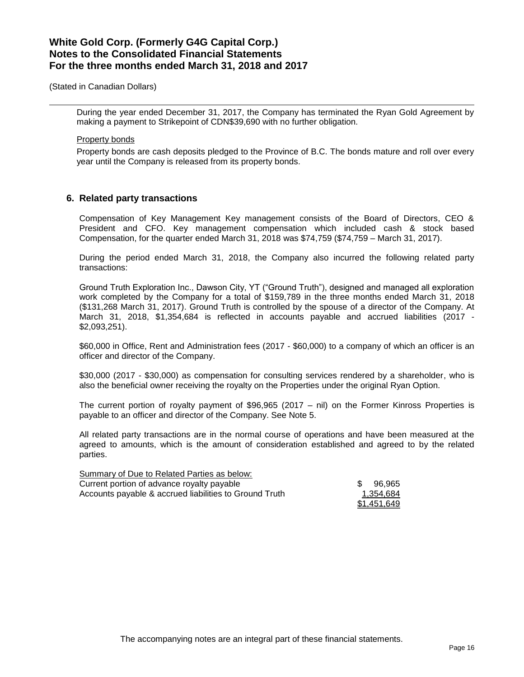(Stated in Canadian Dollars)

During the year ended December 31, 2017, the Company has terminated the Ryan Gold Agreement by making a payment to Strikepoint of CDN\$39,690 with no further obligation.

#### Property bonds

Property bonds are cash deposits pledged to the Province of B.C. The bonds mature and roll over every year until the Company is released from its property bonds.

## **6. Related party transactions**

Compensation of Key Management Key management consists of the Board of Directors, CEO & President and CFO. Key management compensation which included cash & stock based Compensation, for the quarter ended March 31, 2018 was \$74,759 (\$74,759 – March 31, 2017).

During the period ended March 31, 2018, the Company also incurred the following related party transactions:

Ground Truth Exploration Inc., Dawson City, YT ("Ground Truth"), designed and managed all exploration work completed by the Company for a total of \$159,789 in the three months ended March 31, 2018 (\$131,268 March 31, 2017). Ground Truth is controlled by the spouse of a director of the Company. At March 31, 2018, \$1,354,684 is reflected in accounts payable and accrued liabilities (2017 - \$2,093,251).

\$60,000 in Office, Rent and Administration fees (2017 - \$60,000) to a company of which an officer is an officer and director of the Company.

\$30,000 (2017 - \$30,000) as compensation for consulting services rendered by a shareholder, who is also the beneficial owner receiving the royalty on the Properties under the original Ryan Option.

The current portion of royalty payment of \$96,965 (2017 – nil) on the Former Kinross Properties is payable to an officer and director of the Company. See Note 5.

All related party transactions are in the normal course of operations and have been measured at the agreed to amounts, which is the amount of consideration established and agreed to by the related parties.

| Summary of Due to Related Parties as below:            |             |
|--------------------------------------------------------|-------------|
| Current portion of advance royalty payable             | \$96.965    |
| Accounts payable & accrued liabilities to Ground Truth | 1,354,684   |
|                                                        | \$1.451.649 |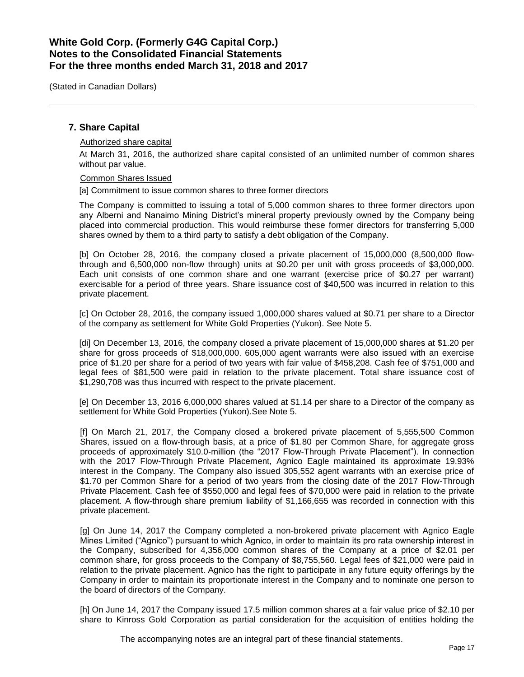(Stated in Canadian Dollars)

### **7. Share Capital**

#### Authorized share capital

At March 31, 2016, the authorized share capital consisted of an unlimited number of common shares without par value.

#### Common Shares Issued

[a] Commitment to issue common shares to three former directors

The Company is committed to issuing a total of 5,000 common shares to three former directors upon any Alberni and Nanaimo Mining District's mineral property previously owned by the Company being placed into commercial production. This would reimburse these former directors for transferring 5,000 shares owned by them to a third party to satisfy a debt obligation of the Company.

[b] On October 28, 2016, the company closed a private placement of 15,000,000 (8,500,000 flowthrough and 6,500,000 non-flow through) units at \$0.20 per unit with gross proceeds of \$3,000,000. Each unit consists of one common share and one warrant (exercise price of \$0.27 per warrant) exercisable for a period of three years. Share issuance cost of \$40,500 was incurred in relation to this private placement.

[c] On October 28, 2016, the company issued 1,000,000 shares valued at \$0.71 per share to a Director of the company as settlement for White Gold Properties (Yukon). See Note 5.

[di] On December 13, 2016, the company closed a private placement of 15,000,000 shares at \$1.20 per share for gross proceeds of \$18,000,000. 605,000 agent warrants were also issued with an exercise price of \$1.20 per share for a period of two years with fair value of \$458,208. Cash fee of \$751,000 and legal fees of \$81,500 were paid in relation to the private placement. Total share issuance cost of \$1,290,708 was thus incurred with respect to the private placement.

[e] On December 13, 2016 6,000,000 shares valued at \$1.14 per share to a Director of the company as settlement for White Gold Properties (Yukon). See Note 5.

[f] On March 21, 2017, the Company closed a brokered private placement of 5,555,500 Common Shares, issued on a flow-through basis, at a price of \$1.80 per Common Share, for aggregate gross proceeds of approximately \$10.0-million (the "2017 Flow-Through Private Placement"). In connection with the 2017 Flow-Through Private Placement, Agnico Eagle maintained its approximate 19.93% interest in the Company. The Company also issued 305,552 agent warrants with an exercise price of \$1.70 per Common Share for a period of two years from the closing date of the 2017 Flow-Through Private Placement. Cash fee of \$550,000 and legal fees of \$70,000 were paid in relation to the private placement. A flow-through share premium liability of \$1,166,655 was recorded in connection with this private placement.

[g] On June 14, 2017 the Company completed a non-brokered private placement with Agnico Eagle Mines Limited ("Agnico") pursuant to which Agnico, in order to maintain its pro rata ownership interest in the Company, subscribed for 4,356,000 common shares of the Company at a price of \$2.01 per common share, for gross proceeds to the Company of \$8,755,560. Legal fees of \$21,000 were paid in relation to the private placement. Agnico has the right to participate in any future equity offerings by the Company in order to maintain its proportionate interest in the Company and to nominate one person to the board of directors of the Company.

[h] On June 14, 2017 the Company issued 17.5 million common shares at a fair value price of \$2.10 per share to Kinross Gold Corporation as partial consideration for the acquisition of entities holding the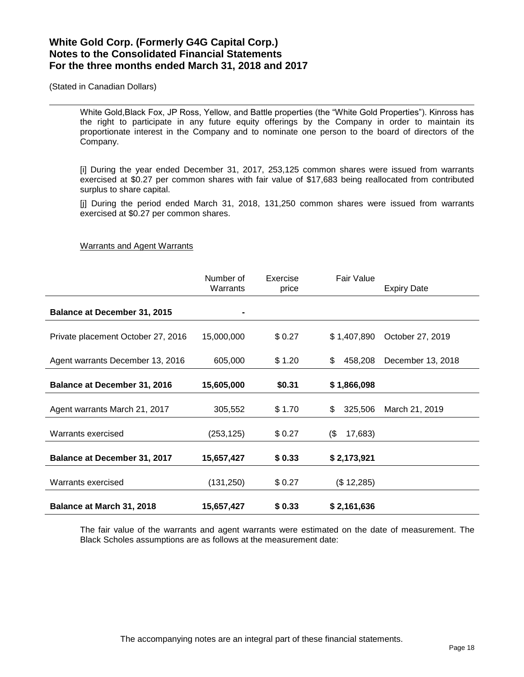(Stated in Canadian Dollars)

White Gold,Black Fox, JP Ross, Yellow, and Battle properties (the "White Gold Properties"). Kinross has the right to participate in any future equity offerings by the Company in order to maintain its proportionate interest in the Company and to nominate one person to the board of directors of the Company.

[i] During the year ended December 31, 2017, 253,125 common shares were issued from warrants exercised at \$0.27 per common shares with fair value of \$17,683 being reallocated from contributed surplus to share capital.

[j] During the period ended March 31, 2018, 131,250 common shares were issued from warrants exercised at \$0.27 per common shares.

#### Warrants and Agent Warrants

|                                     | Number of<br>Warrants | Exercise<br>price | <b>Fair Value</b> | <b>Expiry Date</b> |
|-------------------------------------|-----------------------|-------------------|-------------------|--------------------|
| <b>Balance at December 31, 2015</b> |                       |                   |                   |                    |
| Private placement October 27, 2016  | 15,000,000            | \$0.27            | \$1,407,890       | October 27, 2019   |
| Agent warrants December 13, 2016    | 605,000               | \$1.20            | 458,208<br>\$     | December 13, 2018  |
| Balance at December 31, 2016        | 15,605,000            | \$0.31            | \$1,866,098       |                    |
| Agent warrants March 21, 2017       | 305,552               | \$1.70            | 325,506<br>\$     | March 21, 2019     |
| Warrants exercised                  | (253, 125)            | \$0.27            | $($ \$<br>17,683) |                    |
| <b>Balance at December 31, 2017</b> | 15,657,427            | \$0.33            | \$2,173,921       |                    |
| Warrants exercised                  | (131, 250)            | \$0.27            | (\$12,285)        |                    |
| Balance at March 31, 2018           | 15,657,427            | \$0.33            | \$2,161,636       |                    |

The fair value of the warrants and agent warrants were estimated on the date of measurement. The Black Scholes assumptions are as follows at the measurement date: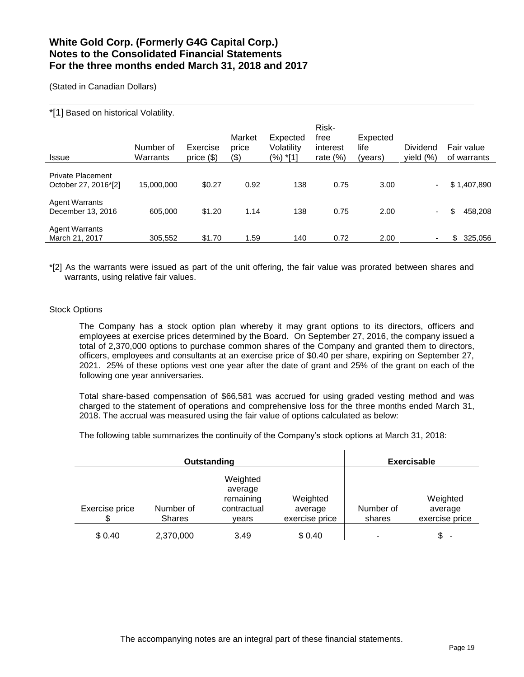(Stated in Canadian Dollars)

### \*[1] Based on historical Volatility.

| <b>Issue</b>                                     | Number of<br>Warrants | Exercise<br>price $(\$)$ | Market<br>price<br>(\$) | Expected<br>Volatility<br>(%) *[1] | Risk-<br>free<br>interest<br>rate $(\%)$ | Expected<br>life<br>(years) | Dividend<br>yield $(\%)$ | Fair value<br>of warrants |
|--------------------------------------------------|-----------------------|--------------------------|-------------------------|------------------------------------|------------------------------------------|-----------------------------|--------------------------|---------------------------|
| <b>Private Placement</b><br>October 27, 2016*[2] | 15,000,000            | \$0.27                   | 0.92                    | 138                                | 0.75                                     | 3.00                        | $\sim$                   | \$1,407,890               |
| <b>Agent Warrants</b><br>December 13, 2016       | 605.000               | \$1.20                   | 1.14                    | 138                                | 0.75                                     | 2.00                        | $\sim$                   | \$<br>458,208             |
| <b>Agent Warrants</b><br>March 21, 2017          | 305,552               | \$1.70                   | 1.59                    | 140                                | 0.72                                     | 2.00                        |                          | 325,056<br>\$.            |

\*[2] As the warrants were issued as part of the unit offering, the fair value was prorated between shares and warrants, using relative fair values.

### Stock Options

The Company has a stock option plan whereby it may grant options to its directors, officers and employees at exercise prices determined by the Board. On September 27, 2016, the company issued a total of 2,370,000 options to purchase common shares of the Company and granted them to directors, officers, employees and consultants at an exercise price of \$0.40 per share, expiring on September 27, 2021. 25% of these options vest one year after the date of grant and 25% of the grant on each of the following one year anniversaries.

Total share-based compensation of \$66,581 was accrued for using graded vesting method and was charged to the statement of operations and comprehensive loss for the three months ended March 31, 2018. The accrual was measured using the fair value of options calculated as below:

The following table summarizes the continuity of the Company's stock options at March 31, 2018:

|                |                            | Outstanding                                              |                                       |                     | <b>Exercisable</b>                    |
|----------------|----------------------------|----------------------------------------------------------|---------------------------------------|---------------------|---------------------------------------|
| Exercise price | Number of<br><b>Shares</b> | Weighted<br>average<br>remaining<br>contractual<br>vears | Weighted<br>average<br>exercise price | Number of<br>shares | Weighted<br>average<br>exercise price |
| \$0.40         | 2,370,000                  | 3.49                                                     | \$0.40                                | ۰                   | \$<br>$\overline{\phantom{a}}$        |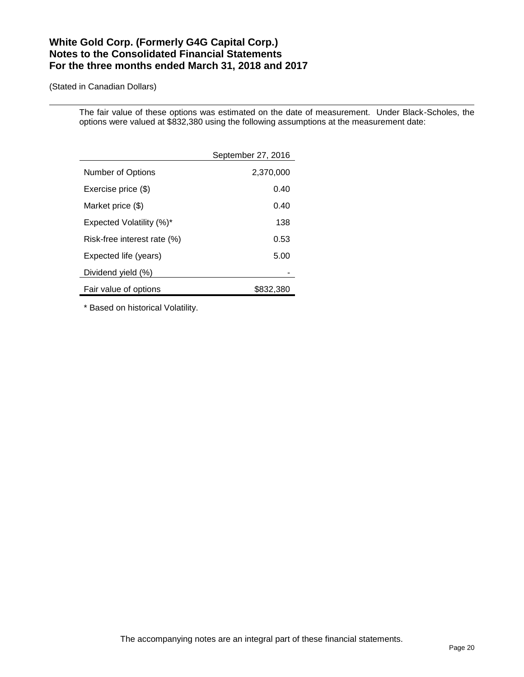(Stated in Canadian Dollars)

The fair value of these options was estimated on the date of measurement. Under Black-Scholes, the options were valued at \$832,380 using the following assumptions at the measurement date:

|                                 | September 27, 2016 |
|---------------------------------|--------------------|
| Number of Options               | 2,370,000          |
| Exercise price (\$)             | 0.40               |
| Market price (\$)               | 0.40               |
| <b>Expected Volatility (%)*</b> | 138                |
| Risk-free interest rate (%)     | 0.53               |
| Expected life (years)           | 5.00               |
| Dividend yield (%)              |                    |
| Fair value of options           | \$832,380          |

\* Based on historical Volatility.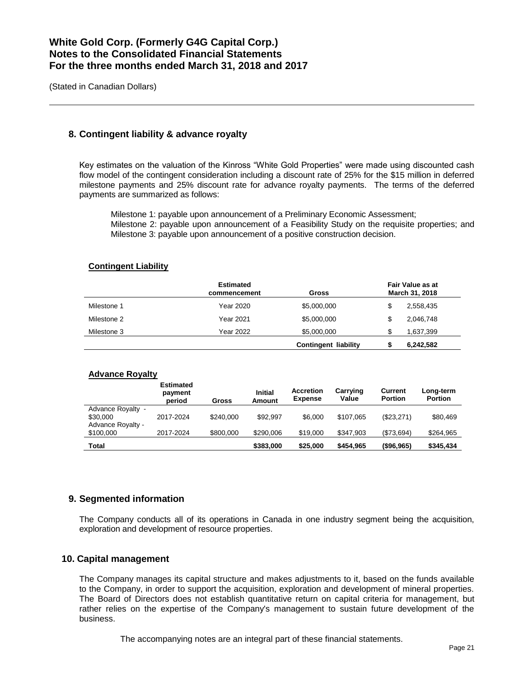(Stated in Canadian Dollars)

## **8. Contingent liability & advance royalty**

Key estimates on the valuation of the Kinross "White Gold Properties" were made using discounted cash flow model of the contingent consideration including a discount rate of 25% for the \$15 million in deferred milestone payments and 25% discount rate for advance royalty payments. The terms of the deferred payments are summarized as follows:

Milestone 1: payable upon announcement of a Preliminary Economic Assessment; Milestone 2: payable upon announcement of a Feasibility Study on the requisite properties; and Milestone 3: payable upon announcement of a positive construction decision.

### **Contingent Liability**

|             | <b>Estimated</b><br>commencement | Gross                       |    | <b>Fair Value as at</b><br>March 31, 2018 |
|-------------|----------------------------------|-----------------------------|----|-------------------------------------------|
| Milestone 1 | Year 2020                        | \$5,000,000                 | \$ | 2,558,435                                 |
| Milestone 2 | <b>Year 2021</b>                 | \$5,000,000                 | \$ | 2,046,748                                 |
| Milestone 3 | Year 2022                        | \$5,000,000                 |    | 1,637,399                                 |
|             |                                  | <b>Contingent liability</b> |    | 6,242,582                                 |

#### **Advance Royalty**

|                                | <b>Estimated</b><br>payment<br>period | Gross     | <b>Initial</b><br>Amount | <b>Accretion</b><br><b>Expense</b> | Carrying<br>Value | <b>Current</b><br><b>Portion</b> | Long-term<br><b>Portion</b> |
|--------------------------------|---------------------------------------|-----------|--------------------------|------------------------------------|-------------------|----------------------------------|-----------------------------|
| Advance Royalty -<br>\$30,000  | 2017-2024                             | \$240,000 | \$92.997                 | \$6,000                            | \$107.065         | (\$23,271)                       | \$80.469                    |
| Advance Royalty -<br>\$100,000 | 2017-2024                             | \$800,000 | \$290,006                | \$19,000                           | \$347.903         | (\$73,694)                       | \$264,965                   |
| Total                          |                                       |           | \$383,000                | \$25,000                           | \$454.965         | (\$96,965)                       | \$345,434                   |

## **9. Segmented information**

The Company conducts all of its operations in Canada in one industry segment being the acquisition, exploration and development of resource properties.

### **10. Capital management**

The Company manages its capital structure and makes adjustments to it, based on the funds available to the Company, in order to support the acquisition, exploration and development of mineral properties. The Board of Directors does not establish quantitative return on capital criteria for management, but rather relies on the expertise of the Company's management to sustain future development of the business.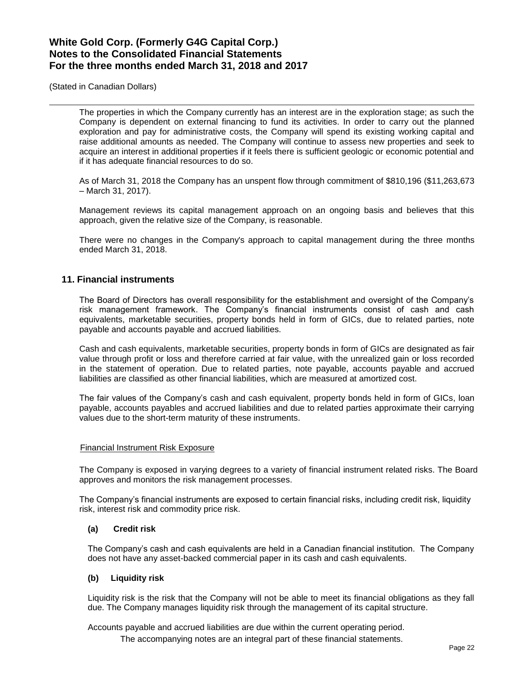(Stated in Canadian Dollars)

The properties in which the Company currently has an interest are in the exploration stage; as such the Company is dependent on external financing to fund its activities. In order to carry out the planned exploration and pay for administrative costs, the Company will spend its existing working capital and raise additional amounts as needed. The Company will continue to assess new properties and seek to acquire an interest in additional properties if it feels there is sufficient geologic or economic potential and if it has adequate financial resources to do so.

As of March 31, 2018 the Company has an unspent flow through commitment of \$810,196 (\$11,263,673 – March 31, 2017).

Management reviews its capital management approach on an ongoing basis and believes that this approach, given the relative size of the Company, is reasonable.

There were no changes in the Company's approach to capital management during the three months ended March 31, 2018.

## **11. Financial instruments**

The Board of Directors has overall responsibility for the establishment and oversight of the Company's risk management framework. The Company's financial instruments consist of cash and cash equivalents, marketable securities, property bonds held in form of GICs, due to related parties, note payable and accounts payable and accrued liabilities.

Cash and cash equivalents, marketable securities, property bonds in form of GICs are designated as fair value through profit or loss and therefore carried at fair value, with the unrealized gain or loss recorded in the statement of operation. Due to related parties, note payable, accounts payable and accrued liabilities are classified as other financial liabilities, which are measured at amortized cost.

The fair values of the Company's cash and cash equivalent, property bonds held in form of GICs, loan payable, accounts payables and accrued liabilities and due to related parties approximate their carrying values due to the short-term maturity of these instruments.

#### Financial Instrument Risk Exposure

The Company is exposed in varying degrees to a variety of financial instrument related risks. The Board approves and monitors the risk management processes.

The Company's financial instruments are exposed to certain financial risks, including credit risk, liquidity risk, interest risk and commodity price risk.

### **(a) Credit risk**

The Company's cash and cash equivalents are held in a Canadian financial institution. The Company does not have any asset-backed commercial paper in its cash and cash equivalents.

#### **(b) Liquidity risk**

Liquidity risk is the risk that the Company will not be able to meet its financial obligations as they fall due. The Company manages liquidity risk through the management of its capital structure.

Accounts payable and accrued liabilities are due within the current operating period.